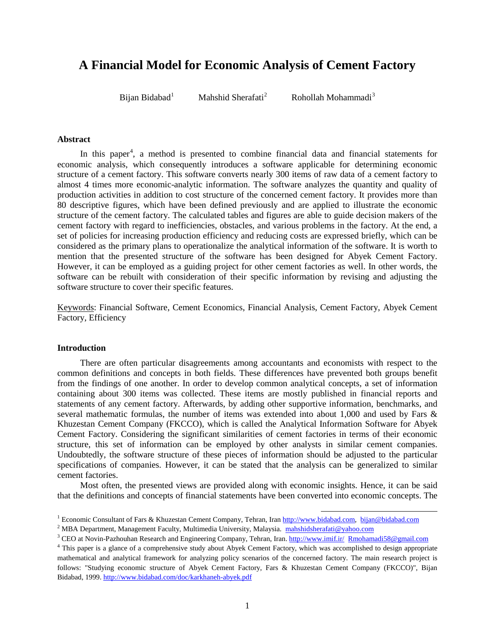# **A Financial Model for Economic Analysis of Cement Factory**

Bijan Bidabad<sup>1</sup>

Mahshid Sherafati<sup>2</sup>

**Rohollah Mohammadi**<sup>3</sup>

## **Abstract**

In this paper<sup>4</sup>, a method is presented to combine financial data and financial statements for economic analysis, which consequently introduces a software applicable for determining economic structure of a cement factory. This software converts nearly 300 items of raw data of a cement factory to almost 4 times more economic-analytic information. The software analyzes the quantity and quality of production activities in addition to cost structure of the concerned cement factory. It provides more than 80 descriptive figures, which have been defined previously and are applied to illustrate the economic structure of the cement factory. The calculated tables and figures are able to guide decision makers of the cement factory with regard to inefficiencies, obstacles, and various problems in the factory. At the end, a set of policies for increasing production efficiency and reducing costs are expressed briefly, which can be considered as the primary plans to operationalize the analytical information of the software. It is worth to mention that the presented structure of the software has been designed for Abyek Cement Factory. However, it can be employed as a guiding project for other cement factories as well. In other words, the software can be rebuilt with consideration of their specific information by revising and adjusting the software structure to cover their specific features.

Keywords: Financial Software, Cement Economics, Financial Analysis, Cement Factory, Abyek Cement Factory, Efficiency

#### **Introduction**

There are often particular disagreements among accountants and economists with respect to the common definitions and concepts in both fields. These differences have prevented both groups benefit from the findings of one another. In order to develop common analytical concepts, a set of information containing about 300 items was collected. These items are mostly published in financial reports and statements of any cement factory. Afterwards, by adding other supportive information, benchmarks, and several mathematic formulas, the number of items was extended into about 1,000 and used by Fars & Khuzestan Cement Company (FKCCO), which is called the Analytical Information Software for Abyek Cement Factory. Considering the significant similarities of cement factories in terms of their economic structure, this set of information can be employed by other analysts in similar cement companies. Undoubtedly, the software structure of these pieces of information should be adjusted to the particular specifications of companies. However, it can be stated that the analysis can be generalized to similar cement factories.

Most often, the presented views are provided along with economic insights. Hence, it can be said that the definitions and concepts of financial statements have been converted into economic concepts. The

<sup>&</sup>lt;sup>1</sup> Economic Consultant of Fars & Khuzestan Cement Company, Tehran, Iran [http://www.bidabad.com,](http://www.bidabad.com/) [bijan@bidabad.com](mailto:bijan@bidabad.com)

<sup>&</sup>lt;sup>2</sup> MBA Department, Management Faculty, Multimedia University, Malaysia. [mahshidsherafati@yahoo.com](mailto:mahshidsherafati@yahoo.com)

<sup>3</sup> CEO at Novin-Pazhouhan Research and Engineering Company, Tehran, Iran[. http://www.imif.ir/](http://www.imif.ir/) [Rmohamadi58@gmail.com](mailto:Rmohamadi58@gmail.com)

<sup>&</sup>lt;sup>4</sup> This paper is a glance of a comprehensive study about Abyek Cement Factory, which was accomplished to design appropriate mathematical and analytical framework for analyzing policy scenarios of the concerned factory. The main research project is follows: "Studying economic structure of Abyek Cement Factory, Fars & Khuzestan Cement Company (FKCCO)", Bijan Bidabad, 1999.<http://www.bidabad.com/doc/karkhaneh-abyek.pdf>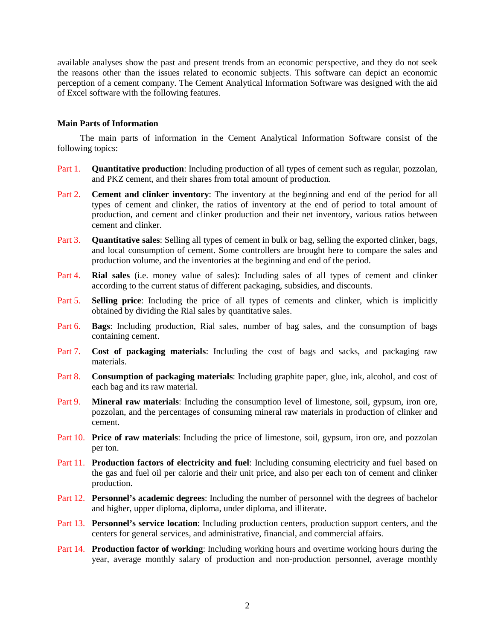available analyses show the past and present trends from an economic perspective, and they do not seek the reasons other than the issues related to economic subjects. This software can depict an economic perception of a cement company. The Cement Analytical Information Software was designed with the aid of Excel software with the following features.

#### **Main Parts of Information**

The main parts of information in the Cement Analytical Information Software consist of the following topics:

- Part 1. **Quantitative production**: Including production of all types of cement such as regular, pozzolan, and PKZ cement, and their shares from total amount of production.
- Part 2. **Cement and clinker inventory**: The inventory at the beginning and end of the period for all types of cement and clinker, the ratios of inventory at the end of period to total amount of production, and cement and clinker production and their net inventory, various ratios between cement and clinker.
- Part 3. **Quantitative sales**: Selling all types of cement in bulk or bag, selling the exported clinker, bags, and local consumption of cement. Some controllers are brought here to compare the sales and production volume, and the inventories at the beginning and end of the period.
- Part 4. **Rial sales** (i.e. money value of sales): Including sales of all types of cement and clinker according to the current status of different packaging, subsidies, and discounts.
- Part 5. **Selling price**: Including the price of all types of cements and clinker, which is implicitly obtained by dividing the Rial sales by quantitative sales.
- Part 6. **Bags**: Including production, Rial sales, number of bag sales, and the consumption of bags containing cement.
- Part 7. **Cost of packaging materials**: Including the cost of bags and sacks, and packaging raw materials.
- Part 8. **Consumption of packaging materials**: Including graphite paper, glue, ink, alcohol, and cost of each bag and its raw material.
- Part 9. **Mineral raw materials**: Including the consumption level of limestone, soil, gypsum, iron ore, pozzolan, and the percentages of consuming mineral raw materials in production of clinker and cement.
- Part 10. **Price of raw materials**: Including the price of limestone, soil, gypsum, iron ore, and pozzolan per ton.
- Part 11. **Production factors of electricity and fuel**: Including consuming electricity and fuel based on the gas and fuel oil per calorie and their unit price, and also per each ton of cement and clinker production.
- Part 12. **Personnel's academic degrees**: Including the number of personnel with the degrees of bachelor and higher, upper diploma, diploma, under diploma, and illiterate.
- Part 13. **Personnel's service location**: Including production centers, production support centers, and the centers for general services, and administrative, financial, and commercial affairs.
- Part 14. **Production factor of working**: Including working hours and overtime working hours during the year, average monthly salary of production and non-production personnel, average monthly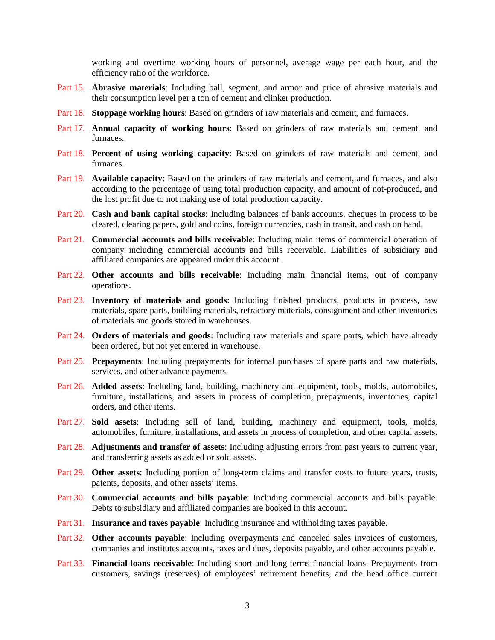working and overtime working hours of personnel, average wage per each hour, and the efficiency ratio of the workforce.

- Part 15. **Abrasive materials**: Including ball, segment, and armor and price of abrasive materials and their consumption level per a ton of cement and clinker production.
- Part 16. **Stoppage working hours**: Based on grinders of raw materials and cement, and furnaces.
- Part 17. **Annual capacity of working hours**: Based on grinders of raw materials and cement, and furnaces.
- Part 18. **Percent of using working capacity**: Based on grinders of raw materials and cement, and furnaces.
- Part 19. **Available capacity**: Based on the grinders of raw materials and cement, and furnaces, and also according to the percentage of using total production capacity, and amount of not-produced, and the lost profit due to not making use of total production capacity.
- Part 20. **Cash and bank capital stocks**: Including balances of bank accounts, cheques in process to be cleared, clearing papers, gold and coins, foreign currencies, cash in transit, and cash on hand.
- Part 21. **Commercial accounts and bills receivable**: Including main items of commercial operation of company including commercial accounts and bills receivable. Liabilities of subsidiary and affiliated companies are appeared under this account.
- Part 22. **Other accounts and bills receivable**: Including main financial items, out of company operations.
- Part 23. **Inventory of materials and goods**: Including finished products, products in process, raw materials, spare parts, building materials, refractory materials, consignment and other inventories of materials and goods stored in warehouses.
- Part 24. **Orders of materials and goods**: Including raw materials and spare parts, which have already been ordered, but not yet entered in warehouse.
- Part 25. **Prepayments**: Including prepayments for internal purchases of spare parts and raw materials, services, and other advance payments.
- Part 26. **Added assets**: Including land, building, machinery and equipment, tools, molds, automobiles, furniture, installations, and assets in process of completion, prepayments, inventories, capital orders, and other items.
- Part 27. **Sold assets**: Including sell of land, building, machinery and equipment, tools, molds, automobiles, furniture, installations, and assets in process of completion, and other capital assets.
- Part 28. **Adjustments and transfer of assets**: Including adjusting errors from past years to current year, and transferring assets as added or sold assets.
- Part 29. **Other assets**: Including portion of long-term claims and transfer costs to future years, trusts, patents, deposits, and other assets' items.
- Part 30. **Commercial accounts and bills payable**: Including commercial accounts and bills payable. Debts to subsidiary and affiliated companies are booked in this account.
- Part 31. **Insurance and taxes payable**: Including insurance and withholding taxes payable.
- Part 32. **Other accounts payable**: Including overpayments and canceled sales invoices of customers, companies and institutes accounts, taxes and dues, deposits payable, and other accounts payable.
- Part 33. **Financial loans receivable**: Including short and long terms financial loans. Prepayments from customers, savings (reserves) of employees' retirement benefits, and the head office current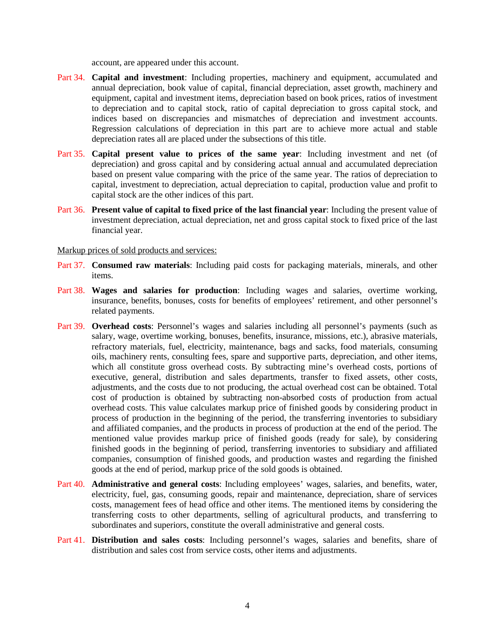account, are appeared under this account.

- Part 34. **Capital and investment**: Including properties, machinery and equipment, accumulated and annual depreciation, book value of capital, financial depreciation, asset growth, machinery and equipment, capital and investment items, depreciation based on book prices, ratios of investment to depreciation and to capital stock, ratio of capital depreciation to gross capital stock, and indices based on discrepancies and mismatches of depreciation and investment accounts. Regression calculations of depreciation in this part are to achieve more actual and stable depreciation rates all are placed under the subsections of this title.
- Part 35. **Capital present value to prices of the same year**: Including investment and net (of depreciation) and gross capital and by considering actual annual and accumulated depreciation based on present value comparing with the price of the same year. The ratios of depreciation to capital, investment to depreciation, actual depreciation to capital, production value and profit to capital stock are the other indices of this part.
- Part 36. **Present value of capital to fixed price of the last financial year**: Including the present value of investment depreciation, actual depreciation, net and gross capital stock to fixed price of the last financial year.

#### Markup prices of sold products and services:

- Part 37. **Consumed raw materials**: Including paid costs for packaging materials, minerals, and other items.
- Part 38. **Wages and salaries for production**: Including wages and salaries, overtime working, insurance, benefits, bonuses, costs for benefits of employees' retirement, and other personnel's related payments.
- Part 39. **Overhead costs**: Personnel's wages and salaries including all personnel's payments (such as salary, wage, overtime working, bonuses, benefits, insurance, missions, etc.), abrasive materials, refractory materials, fuel, electricity, maintenance, bags and sacks, food materials, consuming oils, machinery rents, consulting fees, spare and supportive parts, depreciation, and other items, which all constitute gross overhead costs. By subtracting mine's overhead costs, portions of executive, general, distribution and sales departments, transfer to fixed assets, other costs, adjustments, and the costs due to not producing, the actual overhead cost can be obtained. Total cost of production is obtained by subtracting non-absorbed costs of production from actual overhead costs. This value calculates markup price of finished goods by considering product in process of production in the beginning of the period, the transferring inventories to subsidiary and affiliated companies, and the products in process of production at the end of the period. The mentioned value provides markup price of finished goods (ready for sale), by considering finished goods in the beginning of period, transferring inventories to subsidiary and affiliated companies, consumption of finished goods, and production wastes and regarding the finished goods at the end of period, markup price of the sold goods is obtained.
- Part 40. **Administrative and general costs**: Including employees' wages, salaries, and benefits, water, electricity, fuel, gas, consuming goods, repair and maintenance, depreciation, share of services costs, management fees of head office and other items. The mentioned items by considering the transferring costs to other departments, selling of agricultural products, and transferring to subordinates and superiors, constitute the overall administrative and general costs.
- Part 41. **Distribution and sales costs**: Including personnel's wages, salaries and benefits, share of distribution and sales cost from service costs, other items and adjustments.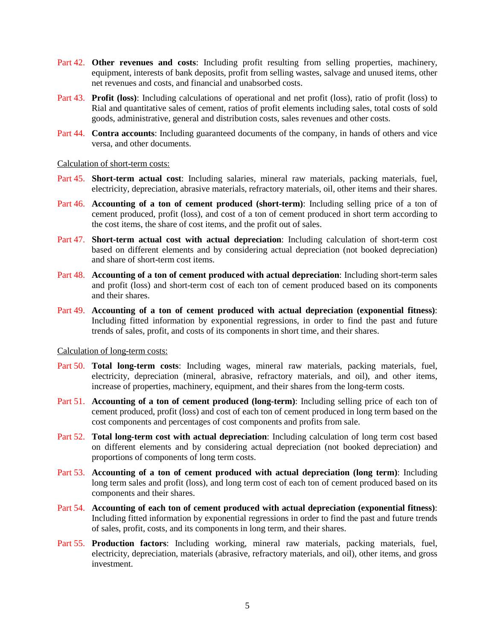- Part 42. Other **revenues and costs**: Including profit resulting from selling properties, machinery, equipment, interests of bank deposits, profit from selling wastes, salvage and unused items, other net revenues and costs, and financial and unabsorbed costs.
- Part 43. **Profit (loss)**: Including calculations of operational and net profit (loss), ratio of profit (loss) to Rial and quantitative sales of cement, ratios of profit elements including sales, total costs of sold goods, administrative, general and distribution costs, sales revenues and other costs.
- Part 44. **Contra accounts**: Including guaranteed documents of the company, in hands of others and vice versa, and other documents.

#### Calculation of short-term costs:

- Part 45. **Short-term actual cost**: Including salaries, mineral raw materials, packing materials, fuel, electricity, depreciation, abrasive materials, refractory materials, oil, other items and their shares.
- Part 46. **Accounting of a ton of cement produced (short-term)**: Including selling price of a ton of cement produced, profit (loss), and cost of a ton of cement produced in short term according to the cost items, the share of cost items, and the profit out of sales.
- Part 47. **Short-term actual cost with actual depreciation**: Including calculation of short-term cost based on different elements and by considering actual depreciation (not booked depreciation) and share of short-term cost items.
- Part 48. **Accounting of a ton of cement produced with actual depreciation**: Including short-term sales and profit (loss) and short-term cost of each ton of cement produced based on its components and their shares.
- Part 49. **Accounting of a ton of cement produced with actual depreciation (exponential fitness)**: Including fitted information by exponential regressions, in order to find the past and future trends of sales, profit, and costs of its components in short time, and their shares.

#### Calculation of long-term costs:

- Part 50. **Total long-term costs**: Including wages, mineral raw materials, packing materials, fuel, electricity, depreciation (mineral, abrasive, refractory materials, and oil), and other items, increase of properties, machinery, equipment, and their shares from the long-term costs.
- Part 51. **Accounting of a ton of cement produced (long-term)**: Including selling price of each ton of cement produced, profit (loss) and cost of each ton of cement produced in long term based on the cost components and percentages of cost components and profits from sale.
- Part 52. **Total long-term cost with actual depreciation**: Including calculation of long term cost based on different elements and by considering actual depreciation (not booked depreciation) and proportions of components of long term costs.
- Part 53. **Accounting of a ton of cement produced with actual depreciation (long term)**: Including long term sales and profit (loss), and long term cost of each ton of cement produced based on its components and their shares.
- Part 54. **Accounting of each ton of cement produced with actual depreciation (exponential fitness)**: Including fitted information by exponential regressions in order to find the past and future trends of sales, profit, costs, and its components in long term, and their shares.
- Part 55. **Production factors**: Including working, mineral raw materials, packing materials, fuel, electricity, depreciation, materials (abrasive, refractory materials, and oil), other items, and gross investment.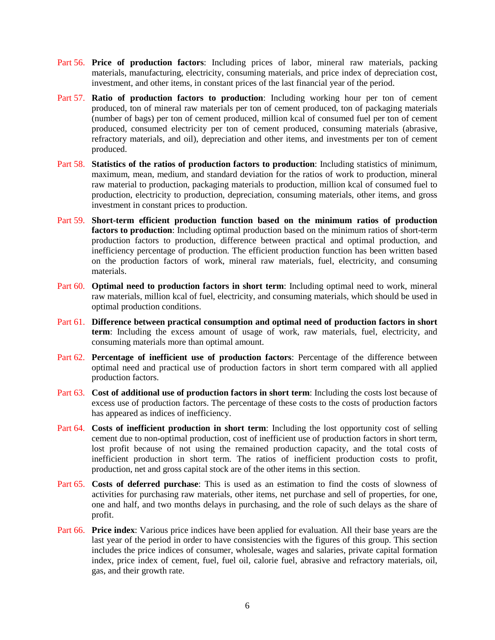- Part 56. **Price of production factors**: Including prices of labor, mineral raw materials, packing materials, manufacturing, electricity, consuming materials, and price index of depreciation cost, investment, and other items, in constant prices of the last financial year of the period.
- Part 57. **Ratio of production factors to production**: Including working hour per ton of cement produced, ton of mineral raw materials per ton of cement produced, ton of packaging materials (number of bags) per ton of cement produced, million kcal of consumed fuel per ton of cement produced, consumed electricity per ton of cement produced, consuming materials (abrasive, refractory materials, and oil), depreciation and other items, and investments per ton of cement produced.
- Part 58. **Statistics of the ratios of production factors to production**: Including statistics of minimum, maximum, mean, medium, and standard deviation for the ratios of work to production, mineral raw material to production, packaging materials to production, million kcal of consumed fuel to production, electricity to production, depreciation, consuming materials, other items, and gross investment in constant prices to production.
- Part 59. **Short-term efficient production function based on the minimum ratios of production factors to production**: Including optimal production based on the minimum ratios of short-term production factors to production, difference between practical and optimal production, and inefficiency percentage of production. The efficient production function has been written based on the production factors of work, mineral raw materials, fuel, electricity, and consuming materials.
- Part 60. **Optimal need to production factors in short term**: Including optimal need to work, mineral raw materials, million kcal of fuel, electricity, and consuming materials, which should be used in optimal production conditions.
- Part 61. **Difference between practical consumption and optimal need of production factors in short term**: Including the excess amount of usage of work, raw materials, fuel, electricity, and consuming materials more than optimal amount.
- Part 62. **Percentage of inefficient use of production factors**: Percentage of the difference between optimal need and practical use of production factors in short term compared with all applied production factors.
- Part 63. **Cost of additional use of production factors in short term**: Including the costs lost because of excess use of production factors. The percentage of these costs to the costs of production factors has appeared as indices of inefficiency.
- Part 64. **Costs of inefficient production in short term**: Including the lost opportunity cost of selling cement due to non-optimal production, cost of inefficient use of production factors in short term, lost profit because of not using the remained production capacity, and the total costs of inefficient production in short term. The ratios of inefficient production costs to profit, production, net and gross capital stock are of the other items in this section.
- Part 65. **Costs of deferred purchase**: This is used as an estimation to find the costs of slowness of activities for purchasing raw materials, other items, net purchase and sell of properties, for one, one and half, and two months delays in purchasing, and the role of such delays as the share of profit.
- Part 66. **Price index**: Various price indices have been applied for evaluation. All their base years are the last year of the period in order to have consistencies with the figures of this group. This section includes the price indices of consumer, wholesale, wages and salaries, private capital formation index, price index of cement, fuel, fuel oil, calorie fuel, abrasive and refractory materials, oil, gas, and their growth rate.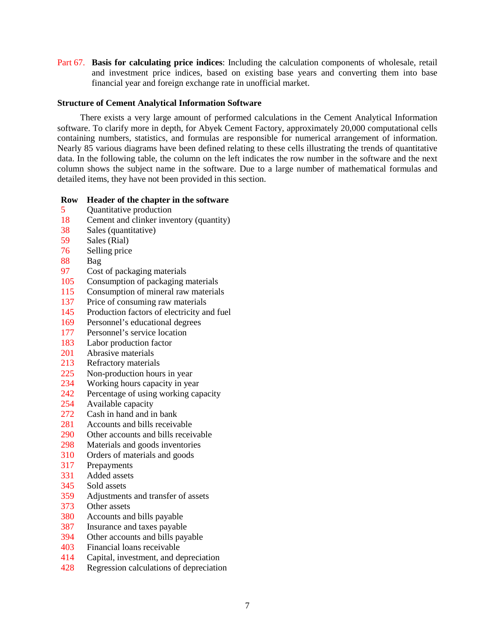Part 67. **Basis for calculating price indices**: Including the calculation components of wholesale, retail and investment price indices, based on existing base years and converting them into base financial year and foreign exchange rate in unofficial market.

## **Structure of Cement Analytical Information Software**

There exists a very large amount of performed calculations in the Cement Analytical Information software. To clarify more in depth, for Abyek Cement Factory, approximately 20,000 computational cells containing numbers, statistics, and formulas are responsible for numerical arrangement of information. Nearly 85 various diagrams have been defined relating to these cells illustrating the trends of quantitative data. In the following table, the column on the left indicates the row number in the software and the next column shows the subject name in the software. Due to a large number of mathematical formulas and detailed items, they have not been provided in this section.

#### **Row Header of the chapter in the software**

- 5 Quantitative production
- 18 Cement and clinker inventory (quantity)
- 38 Sales (quantitative)<br>59 Sales (Rial)
- Sales (Rial)
- 76 Selling price
- 88 Bag
- 97 Cost of packaging materials
- 105 Consumption of packaging materials
- 115 Consumption of mineral raw materials
- 137 Price of consuming raw materials
- 145 Production factors of electricity and fuel
- 169 Personnel's educational degrees
- 177 Personnel's service location
- 183 Labor production factor
- 201 Abrasive materials
- 213 Refractory materials
- 225 Non-production hours in year<br>234 Working hours capacity in year
- Working hours capacity in year
- 242 Percentage of using working capacity
- 254 Available capacity
- 272 Cash in hand and in bank
- 281 Accounts and bills receivable
- 290 Other accounts and bills receivable
- 298 Materials and goods inventories
- 310 Orders of materials and goods
- 317 Prepayments
- 331 Added assets<br>345 Sold assets
- Sold assets
- 359 Adjustments and transfer of assets
- 373 Other assets
- 380 Accounts and bills payable
- 387 Insurance and taxes payable
- 394 Other accounts and bills payable
- 403 Financial loans receivable
- 414 Capital, investment, and depreciation
- 428 Regression calculations of depreciation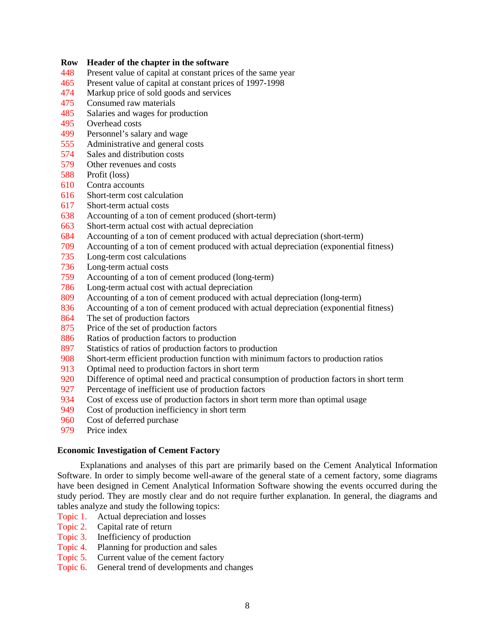#### **Row Header of the chapter in the software**

- Present value of capital at constant prices of the same year
- 465 Present value of capital at constant prices of 1997-1998<br>474 Markup price of sold goods and services
- Markup price of sold goods and services
- Consumed raw materials
- Salaries and wages for production
- Overhead costs
- Personnel's salary and wage
- Administrative and general costs
- 574 Sales and distribution costs<br>579 Other revenues and costs
- Other revenues and costs
- Profit (loss)
- Contra accounts
- Short-term cost calculation
- Short-term actual costs
- Accounting of a ton of cement produced (short-term)
- Short-term actual cost with actual depreciation
- Accounting of a ton of cement produced with actual depreciation (short-term)
- Accounting of a ton of cement produced with actual depreciation (exponential fitness)
- Long-term cost calculations
- Long-term actual costs
- Accounting of a ton of cement produced (long-term)
- Long-term actual cost with actual depreciation
- Accounting of a ton of cement produced with actual depreciation (long-term)
- 836 Accounting of a ton of cement produced with actual depreciation (exponential fitness)
- The set of production factors
- Price of the set of production factors
- Ratios of production factors to production
- Statistics of ratios of production factors to production
- Short-term efficient production function with minimum factors to production ratios
- Optimal need to production factors in short term
- Difference of optimal need and practical consumption of production factors in short term
- Percentage of inefficient use of production factors
- Cost of excess use of production factors in short term more than optimal usage
- Cost of production inefficiency in short term
- Cost of deferred purchase
- Price index

# **Economic Investigation of Cement Factory**

Explanations and analyses of this part are primarily based on the Cement Analytical Information Software. In order to simply become well-aware of the general state of a cement factory, some diagrams have been designed in Cement Analytical Information Software showing the events occurred during the study period. They are mostly clear and do not require further explanation. In general, the diagrams and tables analyze and study the following topics:

Topic 1. Actual depreciation and losses

- Topic 2. Capital rate of return
- Topic 3. Inefficiency of production
- Topic 4. Planning for production and sales
- Topic 5. Current value of the cement factory
- Topic 6. General trend of developments and changes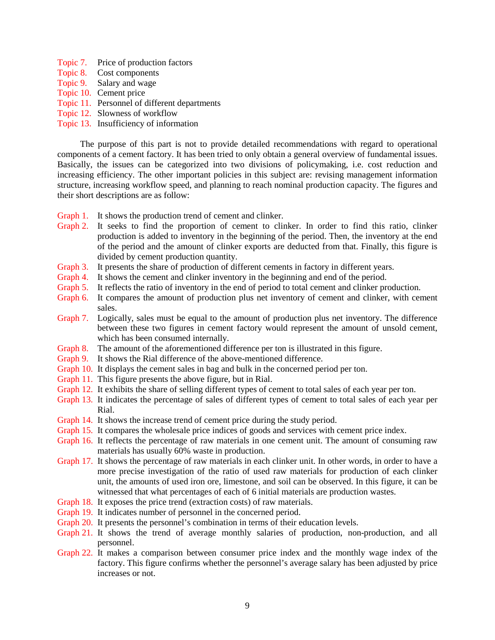- Topic 7. Price of production factors
- Topic 8. Cost components
- Topic 9. Salary and wage
- Topic 10. Cement price
- Topic 11. Personnel of different departments
- Topic 12. Slowness of workflow
- Topic 13. Insufficiency of information

The purpose of this part is not to provide detailed recommendations with regard to operational components of a cement factory. It has been tried to only obtain a general overview of fundamental issues. Basically, the issues can be categorized into two divisions of policymaking, i.e. cost reduction and increasing efficiency. The other important policies in this subject are: revising management information structure, increasing workflow speed, and planning to reach nominal production capacity. The figures and their short descriptions are as follow:

- Graph 1. It shows the production trend of cement and clinker.
- Graph 2. It seeks to find the proportion of cement to clinker. In order to find this ratio, clinker production is added to inventory in the beginning of the period. Then, the inventory at the end of the period and the amount of clinker exports are deducted from that. Finally, this figure is divided by cement production quantity.
- Graph 3. It presents the share of production of different cements in factory in different years.
- Graph 4. It shows the cement and clinker inventory in the beginning and end of the period.
- Graph 5. It reflects the ratio of inventory in the end of period to total cement and clinker production.
- Graph 6. It compares the amount of production plus net inventory of cement and clinker, with cement sales.
- Graph 7. Logically, sales must be equal to the amount of production plus net inventory. The difference between these two figures in cement factory would represent the amount of unsold cement, which has been consumed internally.
- Graph 8. The amount of the aforementioned difference per ton is illustrated in this figure.
- Graph 9. It shows the Rial difference of the above-mentioned difference.
- Graph 10. It displays the cement sales in bag and bulk in the concerned period per ton.
- Graph 11. This figure presents the above figure, but in Rial.
- Graph 12. It exhibits the share of selling different types of cement to total sales of each year per ton.
- Graph 13. It indicates the percentage of sales of different types of cement to total sales of each year per Rial.
- Graph 14. It shows the increase trend of cement price during the study period.
- Graph 15. It compares the wholesale price indices of goods and services with cement price index.
- Graph 16. It reflects the percentage of raw materials in one cement unit. The amount of consuming raw materials has usually 60% waste in production.
- Graph 17. It shows the percentage of raw materials in each clinker unit. In other words, in order to have a more precise investigation of the ratio of used raw materials for production of each clinker unit, the amounts of used iron ore, limestone, and soil can be observed. In this figure, it can be witnessed that what percentages of each of 6 initial materials are production wastes.
- Graph 18. It exposes the price trend (extraction costs) of raw materials.
- Graph 19. It indicates number of personnel in the concerned period.
- Graph 20. It presents the personnel's combination in terms of their education levels.
- Graph 21. It shows the trend of average monthly salaries of production, non-production, and all personnel.
- Graph 22. It makes a comparison between consumer price index and the monthly wage index of the factory. This figure confirms whether the personnel's average salary has been adjusted by price increases or not.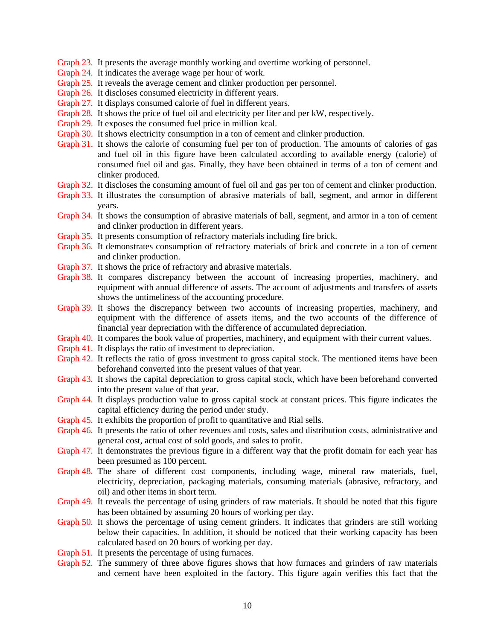- Graph 23. It presents the average monthly working and overtime working of personnel.
- Graph 24. It indicates the average wage per hour of work.
- Graph 25. It reveals the average cement and clinker production per personnel.
- Graph 26. It discloses consumed electricity in different years.
- Graph 27. It displays consumed calorie of fuel in different years.
- Graph 28. It shows the price of fuel oil and electricity per liter and per kW, respectively.
- Graph 29. It exposes the consumed fuel price in million kcal.
- Graph 30. It shows electricity consumption in a ton of cement and clinker production.
- Graph 31. It shows the calorie of consuming fuel per ton of production. The amounts of calories of gas and fuel oil in this figure have been calculated according to available energy (calorie) of consumed fuel oil and gas. Finally, they have been obtained in terms of a ton of cement and clinker produced.
- Graph 32. It discloses the consuming amount of fuel oil and gas per ton of cement and clinker production.
- Graph 33. It illustrates the consumption of abrasive materials of ball, segment, and armor in different years.
- Graph 34. It shows the consumption of abrasive materials of ball, segment, and armor in a ton of cement and clinker production in different years.
- Graph 35. It presents consumption of refractory materials including fire brick.
- Graph 36. It demonstrates consumption of refractory materials of brick and concrete in a ton of cement and clinker production.
- Graph 37. It shows the price of refractory and abrasive materials.
- Graph 38. It compares discrepancy between the account of increasing properties, machinery, and equipment with annual difference of assets. The account of adjustments and transfers of assets shows the untimeliness of the accounting procedure.
- Graph 39. It shows the discrepancy between two accounts of increasing properties, machinery, and equipment with the difference of assets items, and the two accounts of the difference of financial year depreciation with the difference of accumulated depreciation.
- Graph 40. It compares the book value of properties, machinery, and equipment with their current values.
- Graph 41. It displays the ratio of investment to depreciation.
- Graph 42. It reflects the ratio of gross investment to gross capital stock. The mentioned items have been beforehand converted into the present values of that year.
- Graph 43. It shows the capital depreciation to gross capital stock, which have been beforehand converted into the present value of that year.
- Graph 44. It displays production value to gross capital stock at constant prices. This figure indicates the capital efficiency during the period under study.
- Graph 45. It exhibits the proportion of profit to quantitative and Rial sells.
- Graph 46. It presents the ratio of other revenues and costs, sales and distribution costs, administrative and general cost, actual cost of sold goods, and sales to profit.
- Graph 47. It demonstrates the previous figure in a different way that the profit domain for each year has been presumed as 100 percent.
- Graph 48. The share of different cost components, including wage, mineral raw materials, fuel, electricity, depreciation, packaging materials, consuming materials (abrasive, refractory, and oil) and other items in short term.
- Graph 49. It reveals the percentage of using grinders of raw materials. It should be noted that this figure has been obtained by assuming 20 hours of working per day.
- Graph 50. It shows the percentage of using cement grinders. It indicates that grinders are still working below their capacities. In addition, it should be noticed that their working capacity has been calculated based on 20 hours of working per day.
- Graph 51. It presents the percentage of using furnaces.
- Graph 52. The summery of three above figures shows that how furnaces and grinders of raw materials and cement have been exploited in the factory. This figure again verifies this fact that the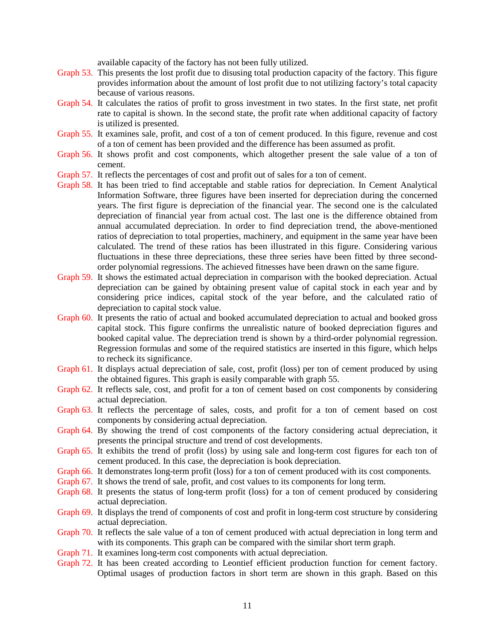available capacity of the factory has not been fully utilized.

- Graph 53. This presents the lost profit due to disusing total production capacity of the factory. This figure provides information about the amount of lost profit due to not utilizing factory's total capacity because of various reasons.
- Graph 54. It calculates the ratios of profit to gross investment in two states. In the first state, net profit rate to capital is shown. In the second state, the profit rate when additional capacity of factory is utilized is presented.
- Graph 55. It examines sale, profit, and cost of a ton of cement produced. In this figure, revenue and cost of a ton of cement has been provided and the difference has been assumed as profit.
- Graph 56. It shows profit and cost components, which altogether present the sale value of a ton of cement.
- Graph 57. It reflects the percentages of cost and profit out of sales for a ton of cement.
- Graph 58. It has been tried to find acceptable and stable ratios for depreciation. In Cement Analytical Information Software, three figures have been inserted for depreciation during the concerned years. The first figure is depreciation of the financial year. The second one is the calculated depreciation of financial year from actual cost. The last one is the difference obtained from annual accumulated depreciation. In order to find depreciation trend, the above-mentioned ratios of depreciation to total properties, machinery, and equipment in the same year have been calculated. The trend of these ratios has been illustrated in this figure. Considering various fluctuations in these three depreciations, these three series have been fitted by three secondorder polynomial regressions. The achieved fitnesses have been drawn on the same figure.
- Graph 59. It shows the estimated actual depreciation in comparison with the booked depreciation. Actual depreciation can be gained by obtaining present value of capital stock in each year and by considering price indices, capital stock of the year before, and the calculated ratio of depreciation to capital stock value.
- Graph 60. It presents the ratio of actual and booked accumulated depreciation to actual and booked gross capital stock. This figure confirms the unrealistic nature of booked depreciation figures and booked capital value. The depreciation trend is shown by a third-order polynomial regression. Regression formulas and some of the required statistics are inserted in this figure, which helps to recheck its significance.
- Graph 61. It displays actual depreciation of sale, cost, profit (loss) per ton of cement produced by using the obtained figures. This graph is easily comparable with graph 55.
- Graph 62. It reflects sale, cost, and profit for a ton of cement based on cost components by considering actual depreciation.
- Graph 63. It reflects the percentage of sales, costs, and profit for a ton of cement based on cost components by considering actual depreciation.
- Graph 64. By showing the trend of cost components of the factory considering actual depreciation, it presents the principal structure and trend of cost developments.
- Graph 65. It exhibits the trend of profit (loss) by using sale and long-term cost figures for each ton of cement produced. In this case, the depreciation is book depreciation.
- Graph 66. It demonstrates long-term profit (loss) for a ton of cement produced with its cost components.
- Graph 67. It shows the trend of sale, profit, and cost values to its components for long term.
- Graph 68. It presents the status of long-term profit (loss) for a ton of cement produced by considering actual depreciation.
- Graph 69. It displays the trend of components of cost and profit in long-term cost structure by considering actual depreciation.
- Graph 70. It reflects the sale value of a ton of cement produced with actual depreciation in long term and with its components. This graph can be compared with the similar short term graph.
- Graph 71. It examines long-term cost components with actual depreciation.
- Graph 72. It has been created according to Leontief efficient production function for cement factory. Optimal usages of production factors in short term are shown in this graph. Based on this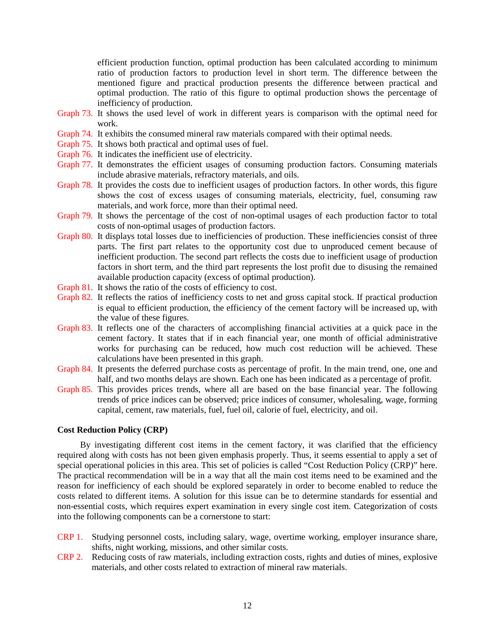efficient production function, optimal production has been calculated according to minimum ratio of production factors to production level in short term. The difference between the mentioned figure and practical production presents the difference between practical and optimal production. The ratio of this figure to optimal production shows the percentage of inefficiency of production.

- Graph 73. It shows the used level of work in different years is comparison with the optimal need for work.
- Graph 74. It exhibits the consumed mineral raw materials compared with their optimal needs.
- Graph 75. It shows both practical and optimal uses of fuel.
- Graph 76. It indicates the inefficient use of electricity.
- Graph 77. It demonstrates the efficient usages of consuming production factors. Consuming materials include abrasive materials, refractory materials, and oils.
- Graph 78. It provides the costs due to inefficient usages of production factors. In other words, this figure shows the cost of excess usages of consuming materials, electricity, fuel, consuming raw materials, and work force, more than their optimal need.
- Graph 79. It shows the percentage of the cost of non-optimal usages of each production factor to total costs of non-optimal usages of production factors.
- Graph 80. It displays total losses due to inefficiencies of production. These inefficiencies consist of three parts. The first part relates to the opportunity cost due to unproduced cement because of inefficient production. The second part reflects the costs due to inefficient usage of production factors in short term, and the third part represents the lost profit due to disusing the remained available production capacity (excess of optimal production).
- Graph 81. It shows the ratio of the costs of efficiency to cost.
- Graph 82. It reflects the ratios of inefficiency costs to net and gross capital stock. If practical production is equal to efficient production, the efficiency of the cement factory will be increased up, with the value of these figures.
- Graph 83. It reflects one of the characters of accomplishing financial activities at a quick pace in the cement factory. It states that if in each financial year, one month of official administrative works for purchasing can be reduced, how much cost reduction will be achieved. These calculations have been presented in this graph.
- Graph 84. It presents the deferred purchase costs as percentage of profit. In the main trend, one, one and half, and two months delays are shown. Each one has been indicated as a percentage of profit.
- Graph 85. This provides prices trends, where all are based on the base financial year. The following trends of price indices can be observed; price indices of consumer, wholesaling, wage, forming capital, cement, raw materials, fuel, fuel oil, calorie of fuel, electricity, and oil.

#### **Cost Reduction Policy (CRP)**

By investigating different cost items in the cement factory, it was clarified that the efficiency required along with costs has not been given emphasis properly. Thus, it seems essential to apply a set of special operational policies in this area. This set of policies is called "Cost Reduction Policy (CRP)" here. The practical recommendation will be in a way that all the main cost items need to be examined and the reason for inefficiency of each should be explored separately in order to become enabled to reduce the costs related to different items. A solution for this issue can be to determine standards for essential and non-essential costs, which requires expert examination in every single cost item. Categorization of costs into the following components can be a cornerstone to start:

- CRP 1. Studying personnel costs, including salary, wage, overtime working, employer insurance share, shifts, night working, missions, and other similar costs.
- CRP 2. Reducing costs of raw materials, including extraction costs, rights and duties of mines, explosive materials, and other costs related to extraction of mineral raw materials.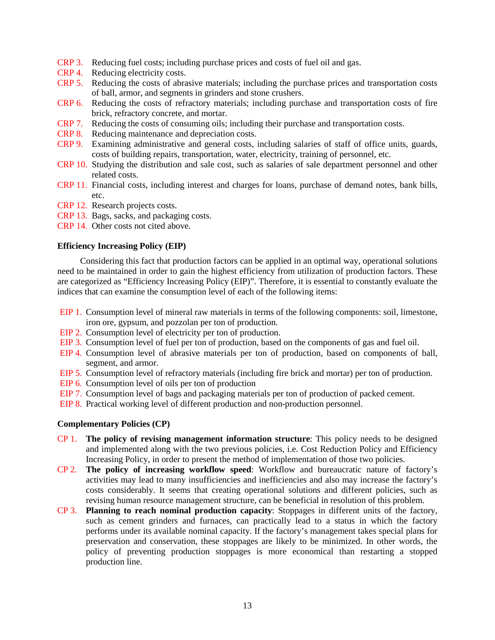- CRP 3. Reducing fuel costs; including purchase prices and costs of fuel oil and gas.
- CRP 4. Reducing electricity costs.
- CRP 5. Reducing the costs of abrasive materials; including the purchase prices and transportation costs of ball, armor, and segments in grinders and stone crushers.
- CRP 6. Reducing the costs of refractory materials; including purchase and transportation costs of fire brick, refractory concrete, and mortar.
- CRP 7. Reducing the costs of consuming oils; including their purchase and transportation costs.
- CRP 8. Reducing maintenance and depreciation costs.
- CRP 9. Examining administrative and general costs, including salaries of staff of office units, guards, costs of building repairs, transportation, water, electricity, training of personnel, etc.
- CRP 10. Studying the distribution and sale cost, such as salaries of sale department personnel and other related costs.
- CRP 11. Financial costs, including interest and charges for loans, purchase of demand notes, bank bills, etc.
- CRP 12. Research projects costs.
- CRP 13. Bags, sacks, and packaging costs.
- CRP 14. Other costs not cited above.

#### **Efficiency Increasing Policy (EIP)**

Considering this fact that production factors can be applied in an optimal way, operational solutions need to be maintained in order to gain the highest efficiency from utilization of production factors. These are categorized as "Efficiency Increasing Policy (EIP)". Therefore, it is essential to constantly evaluate the indices that can examine the consumption level of each of the following items:

- EIP 1. Consumption level of mineral raw materials in terms of the following components: soil, limestone, iron ore, gypsum, and pozzolan per ton of production.
- EIP 2. Consumption level of electricity per ton of production.
- EIP 3. Consumption level of fuel per ton of production, based on the components of gas and fuel oil.
- EIP 4. Consumption level of abrasive materials per ton of production, based on components of ball, segment, and armor.
- EIP 5. Consumption level of refractory materials (including fire brick and mortar) per ton of production.
- EIP 6. Consumption level of oils per ton of production
- EIP 7. Consumption level of bags and packaging materials per ton of production of packed cement.
- EIP 8. Practical working level of different production and non-production personnel.

## **Complementary Policies (CP)**

- CP 1. **The policy of revising management information structure**: This policy needs to be designed and implemented along with the two previous policies, i.e. Cost Reduction Policy and Efficiency Increasing Policy, in order to present the method of implementation of those two policies.
- CP 2. **The policy of increasing workflow speed**: Workflow and bureaucratic nature of factory's activities may lead to many insufficiencies and inefficiencies and also may increase the factory's costs considerably. It seems that creating operational solutions and different policies, such as revising human resource management structure, can be beneficial in resolution of this problem.
- CP 3. **Planning to reach nominal production capacity**: Stoppages in different units of the factory, such as cement grinders and furnaces, can practically lead to a status in which the factory performs under its available nominal capacity. If the factory's management takes special plans for preservation and conservation, these stoppages are likely to be minimized. In other words, the policy of preventing production stoppages is more economical than restarting a stopped production line.